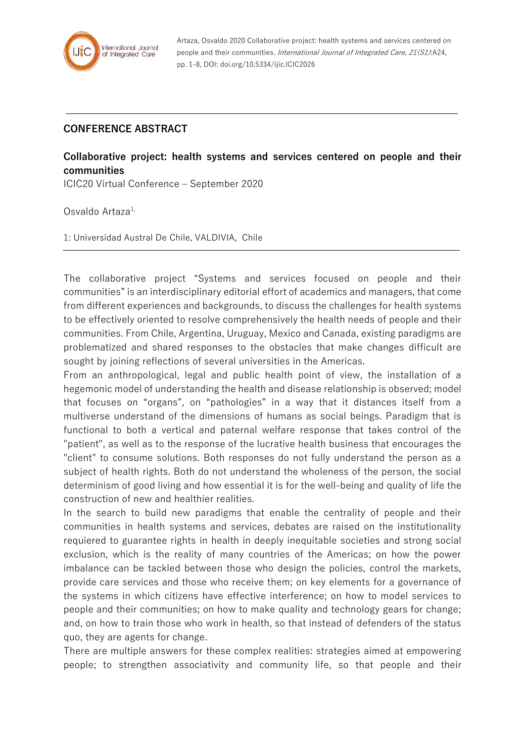

Artaza, Osvaldo 2020 Collaborative project: health systems and services centered on people and their communities. International Journal of Integrated Care, 21(S1):A24, pp. 1-8, DOI: doi.org/10.5334/ijic.ICIC2026

## **CONFERENCE ABSTRACT**

## **Collaborative project: health systems and services centered on people and their communities**

ICIC20 Virtual Conference – September 2020

Osvaldo Artaza<sup>1,</sup>

1: Universidad Austral De Chile, VALDIVIA, Chile

The collaborative project "Systems and services focused on people and their communities" is an interdisciplinary editorial effort of academics and managers, that come from different experiences and backgrounds, to discuss the challenges for health systems to be effectively oriented to resolve comprehensively the health needs of people and their communities. From Chile, Argentina, Uruguay, Mexico and Canada, existing paradigms are problematized and shared responses to the obstacles that make changes difficult are sought by joining reflections of several universities in the Americas.

From an anthropological, legal and public health point of view, the installation of a hegemonic model of understanding the health and disease relationship is observed; model that focuses on "organs", on "pathologies" in a way that it distances itself from a multiverse understand of the dimensions of humans as social beings. Paradigm that is functional to both a vertical and paternal welfare response that takes control of the "patient", as well as to the response of the lucrative health business that encourages the "client" to consume solutions. Both responses do not fully understand the person as a subject of health rights. Both do not understand the wholeness of the person, the social determinism of good living and how essential it is for the well-being and quality of life the construction of new and healthier realities.

In the search to build new paradigms that enable the centrality of people and their communities in health systems and services, debates are raised on the institutionality requiered to guarantee rights in health in deeply inequitable societies and strong social exclusion, which is the reality of many countries of the Americas; on how the power imbalance can be tackled between those who design the policies, control the markets, provide care services and those who receive them; on key elements for a governance of the systems in which citizens have effective interference; on how to model services to people and their communities; on how to make quality and technology gears for change; and, on how to train those who work in health, so that instead of defenders of the status quo, they are agents for change.

There are multiple answers for these complex realities: strategies aimed at empowering people; to strengthen associativity and community life, so that people and their